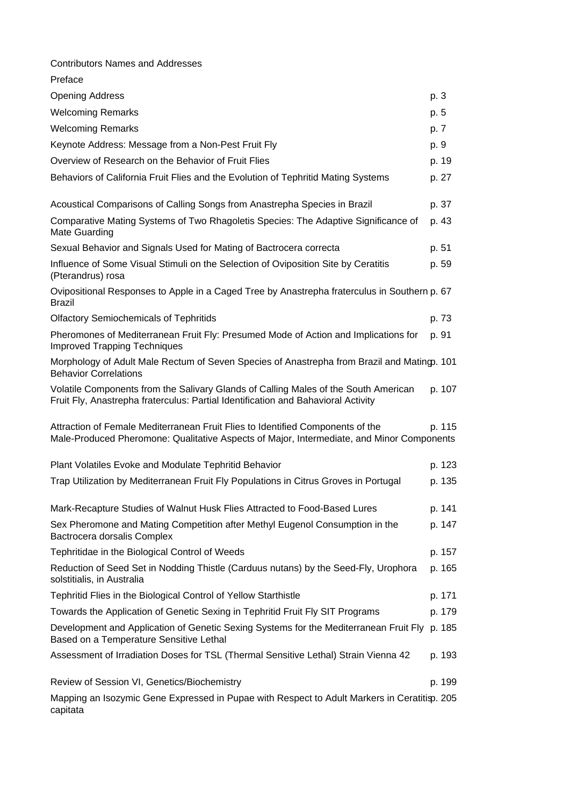| <b>Contributors Names and Addresses</b>                                                                                                                                     |        |
|-----------------------------------------------------------------------------------------------------------------------------------------------------------------------------|--------|
| Preface                                                                                                                                                                     |        |
| <b>Opening Address</b>                                                                                                                                                      | p. 3   |
| <b>Welcoming Remarks</b>                                                                                                                                                    | p. 5   |
| <b>Welcoming Remarks</b>                                                                                                                                                    | p. 7   |
| Keynote Address: Message from a Non-Pest Fruit Fly                                                                                                                          | p. 9   |
| Overview of Research on the Behavior of Fruit Flies                                                                                                                         | p. 19  |
| Behaviors of California Fruit Flies and the Evolution of Tephritid Mating Systems                                                                                           | p. 27  |
| Acoustical Comparisons of Calling Songs from Anastrepha Species in Brazil                                                                                                   | p. 37  |
| Comparative Mating Systems of Two Rhagoletis Species: The Adaptive Significance of<br>Mate Guarding                                                                         | p. 43  |
| Sexual Behavior and Signals Used for Mating of Bactrocera correcta                                                                                                          | p. 51  |
| Influence of Some Visual Stimuli on the Selection of Oviposition Site by Ceratitis<br>(Pterandrus) rosa                                                                     | p. 59  |
| Ovipositional Responses to Apple in a Caged Tree by Anastrepha fraterculus in Southern p. 67<br><b>Brazil</b>                                                               |        |
| <b>Olfactory Semiochemicals of Tephritids</b>                                                                                                                               | p. 73  |
| Pheromones of Mediterranean Fruit Fly: Presumed Mode of Action and Implications for<br><b>Improved Trapping Techniques</b>                                                  | p. 91  |
| Morphology of Adult Male Rectum of Seven Species of Anastrepha from Brazil and Mating. 101<br><b>Behavior Correlations</b>                                                  |        |
| Volatile Components from the Salivary Glands of Calling Males of the South American<br>Fruit Fly, Anastrepha fraterculus: Partial Identification and Bahavioral Activity    | p. 107 |
| Attraction of Female Mediterranean Fruit Flies to Identified Components of the<br>Male-Produced Pheromone: Qualitative Aspects of Major, Intermediate, and Minor Components | p. 115 |
| Plant Volatiles Evoke and Modulate Tephritid Behavior                                                                                                                       | p. 123 |
| Trap Utilization by Mediterranean Fruit Fly Populations in Citrus Groves in Portugal                                                                                        | p. 135 |
| Mark-Recapture Studies of Walnut Husk Flies Attracted to Food-Based Lures                                                                                                   | p. 141 |
| Sex Pheromone and Mating Competition after Methyl Eugenol Consumption in the<br>Bactrocera dorsalis Complex                                                                 | p. 147 |
| Tephritidae in the Biological Control of Weeds                                                                                                                              | p. 157 |
| Reduction of Seed Set in Nodding Thistle (Carduus nutans) by the Seed-Fly, Urophora<br>solstitialis, in Australia                                                           | p. 165 |
| Tephritid Flies in the Biological Control of Yellow Starthistle                                                                                                             | p. 171 |
| Towards the Application of Genetic Sexing in Tephritid Fruit Fly SIT Programs                                                                                               | p. 179 |
| Development and Application of Genetic Sexing Systems for the Mediterranean Fruit Fly p. 185<br>Based on a Temperature Sensitive Lethal                                     |        |
| Assessment of Irradiation Doses for TSL (Thermal Sensitive Lethal) Strain Vienna 42                                                                                         | p. 193 |
| Review of Session VI, Genetics/Biochemistry                                                                                                                                 | p. 199 |
| Mapping an Isozymic Gene Expressed in Pupae with Respect to Adult Markers in Ceratitisp. 205<br>capitata                                                                    |        |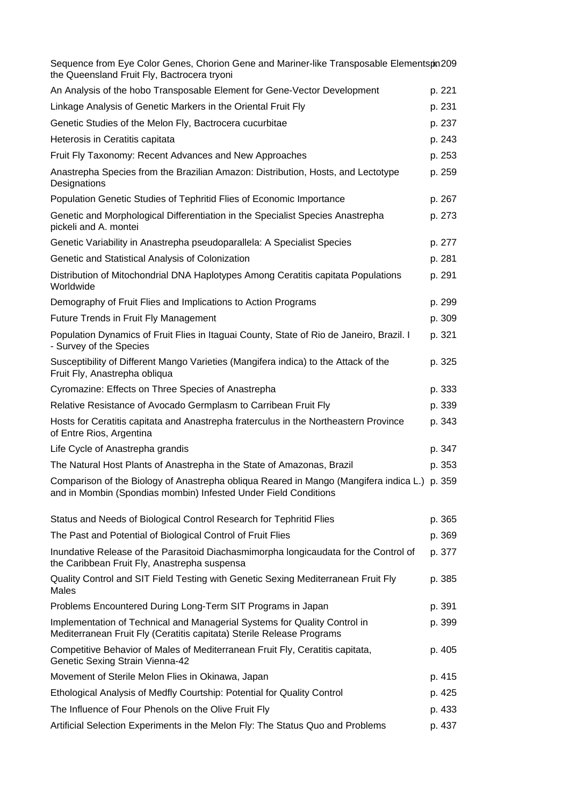| Sequence from Eye Color Genes, Chorion Gene and Mariner-like Transposable Elementspn209<br>the Queensland Fruit Fly, Bactrocera tryoni                          |        |
|-----------------------------------------------------------------------------------------------------------------------------------------------------------------|--------|
| An Analysis of the hobo Transposable Element for Gene-Vector Development                                                                                        | p. 221 |
| Linkage Analysis of Genetic Markers in the Oriental Fruit Fly                                                                                                   | p. 231 |
| Genetic Studies of the Melon Fly, Bactrocera cucurbitae                                                                                                         | p. 237 |
| Heterosis in Ceratitis capitata                                                                                                                                 | p. 243 |
| Fruit Fly Taxonomy: Recent Advances and New Approaches                                                                                                          | p. 253 |
| Anastrepha Species from the Brazilian Amazon: Distribution, Hosts, and Lectotype<br>Designations                                                                | p. 259 |
| Population Genetic Studies of Tephritid Flies of Economic Importance                                                                                            | p. 267 |
| Genetic and Morphological Differentiation in the Specialist Species Anastrepha<br>pickeli and A. montei                                                         | p. 273 |
| Genetic Variability in Anastrepha pseudoparallela: A Specialist Species                                                                                         | p. 277 |
| Genetic and Statistical Analysis of Colonization                                                                                                                | p. 281 |
| Distribution of Mitochondrial DNA Haplotypes Among Ceratitis capitata Populations<br>Worldwide                                                                  | p. 291 |
| Demography of Fruit Flies and Implications to Action Programs                                                                                                   | p. 299 |
| Future Trends in Fruit Fly Management                                                                                                                           | p. 309 |
| Population Dynamics of Fruit Flies in Itaguai County, State of Rio de Janeiro, Brazil. I<br>- Survey of the Species                                             | p. 321 |
| Susceptibility of Different Mango Varieties (Mangifera indica) to the Attack of the<br>Fruit Fly, Anastrepha obliqua                                            | p. 325 |
| Cyromazine: Effects on Three Species of Anastrepha                                                                                                              | p. 333 |
| Relative Resistance of Avocado Germplasm to Carribean Fruit Fly                                                                                                 | p. 339 |
| Hosts for Ceratitis capitata and Anastrepha fraterculus in the Northeastern Province<br>of Entre Rios, Argentina                                                | p. 343 |
| Life Cycle of Anastrepha grandis                                                                                                                                | p. 347 |
| The Natural Host Plants of Anastrepha in the State of Amazonas, Brazil                                                                                          | p. 353 |
| Comparison of the Biology of Anastrepha obliqua Reared in Mango (Mangifera indica L.) p. 359<br>and in Mombin (Spondias mombin) Infested Under Field Conditions |        |
| Status and Needs of Biological Control Research for Tephritid Flies                                                                                             | p. 365 |
| The Past and Potential of Biological Control of Fruit Flies                                                                                                     | p. 369 |
| Inundative Release of the Parasitoid Diachasmimorpha longicaudata for the Control of<br>the Caribbean Fruit Fly, Anastrepha suspensa                            | p. 377 |
| Quality Control and SIT Field Testing with Genetic Sexing Mediterranean Fruit Fly<br>Males                                                                      | p. 385 |
| Problems Encountered During Long-Term SIT Programs in Japan                                                                                                     | p. 391 |
| Implementation of Technical and Managerial Systems for Quality Control in<br>Mediterranean Fruit Fly (Ceratitis capitata) Sterile Release Programs              | p. 399 |
| Competitive Behavior of Males of Mediterranean Fruit Fly, Ceratitis capitata,<br>Genetic Sexing Strain Vienna-42                                                | p. 405 |
| Movement of Sterile Melon Flies in Okinawa, Japan                                                                                                               | p. 415 |
| Ethological Analysis of Medfly Courtship: Potential for Quality Control                                                                                         | p. 425 |
| The Influence of Four Phenols on the Olive Fruit Fly                                                                                                            | p. 433 |
| Artificial Selection Experiments in the Melon Fly: The Status Quo and Problems                                                                                  | p. 437 |